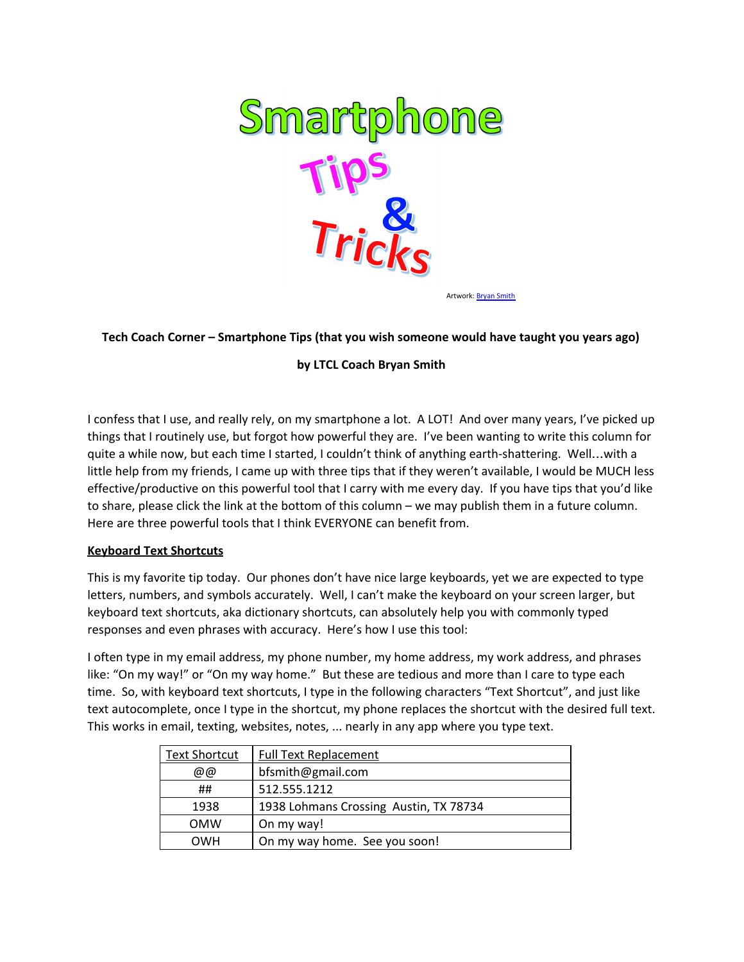

Artwork: [Bryan](mailto:bfsmith@gmail.com) Smith

#### **Tech Coach Corner – Smartphone Tips (that you wish someone would have taught you years ago)**

### **by LTCL Coach Bryan Smith**

I confess that I use, and really rely, on my smartphone a lot. A LOT! And over many years, I've picked up things that I routinely use, but forgot how powerful they are. I've been wanting to write this column for quite a while now, but each time I started, I couldn't think of anything earth-shattering. Well…with a little help from my friends, I came up with three tips that if they weren't available, I would be MUCH less effective/productive on this powerful tool that I carry with me every day. If you have tips that you'd like to share, please click the link at the bottom of this column – we may publish them in a future column. Here are three powerful tools that I think EVERYONE can benefit from.

#### **Keyboard Text Shortcuts**

This is my favorite tip today. Our phones don't have nice large keyboards, yet we are expected to type letters, numbers, and symbols accurately. Well, I can't make the keyboard on your screen larger, but keyboard text shortcuts, aka dictionary shortcuts, can absolutely help you with commonly typed responses and even phrases with accuracy. Here's how I use this tool:

I often type in my email address, my phone number, my home address, my work address, and phrases like: "On my way!" or "On my way home." But these are tedious and more than I care to type each time. So, with keyboard text shortcuts, I type in the following characters "Text Shortcut", and just like text autocomplete, once I type in the shortcut, my phone replaces the shortcut with the desired full text. This works in email, texting, websites, notes, ... nearly in any app where you type text.

| <b>Text Shortcut</b> | <b>Full Text Replacement</b>           |
|----------------------|----------------------------------------|
| @@                   | bfsmith@gmail.com                      |
| ##                   | 512.555.1212                           |
| 1938                 | 1938 Lohmans Crossing Austin, TX 78734 |
| <b>OMW</b>           | On my way!                             |
| <b>OWH</b>           | On my way home. See you soon!          |